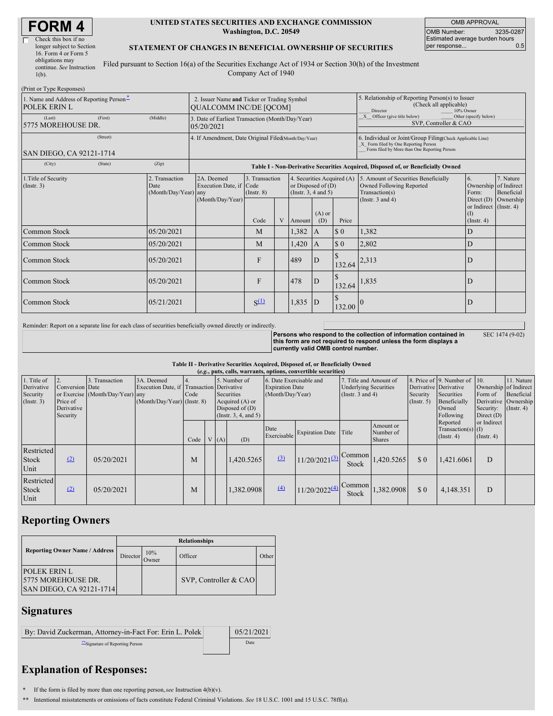# **FORM 4**

 $(Print or True Rome)$ 

| Check this box if no      |  |
|---------------------------|--|
| longer subject to Section |  |
| 16. Form 4 or Form 5      |  |
| obligations may           |  |
| continue. See Instruction |  |
| $1(b)$ .                  |  |
|                           |  |

#### **UNITED STATES SECURITIES AND EXCHANGE COMMISSION Washington, D.C. 20549**

OMB APPROVAL OMB Number: 3235-0287 Estimated average burden hours<br>per response... 0.5 per response...

SEC 1474 (9-02)

### **STATEMENT OF CHANGES IN BENEFICIAL OWNERSHIP OF SECURITIES**

Filed pursuant to Section 16(a) of the Securities Exchange Act of 1934 or Section 30(h) of the Investment Company Act of 1940

| $1 \text{ nm}$ or $1 \text{ ypc}$ responses<br>1. Name and Address of Reporting Person-<br><b>POLEK ERIN L</b> |          | 2. Issuer Name and Ticker or Trading Symbol<br><b>QUALCOMM INC/DE [QCOM]</b> |                                                                                  |                                   |   |                                                                            |                 | 5. Relationship of Reporting Person(s) to Issuer<br>(Check all applicable)<br>10% Owner<br>Director                                                |                                                                                    |                                                   |                         |  |  |
|----------------------------------------------------------------------------------------------------------------|----------|------------------------------------------------------------------------------|----------------------------------------------------------------------------------|-----------------------------------|---|----------------------------------------------------------------------------|-----------------|----------------------------------------------------------------------------------------------------------------------------------------------------|------------------------------------------------------------------------------------|---------------------------------------------------|-------------------------|--|--|
| (Last)<br>5775 MOREHOUSE DR.                                                                                   | (Middle) | 3. Date of Earliest Transaction (Month/Day/Year)<br>05/20/2021               |                                                                                  |                                   |   |                                                                            |                 | $\overline{X}$ Officer (give title below)<br>Other (specify below)<br>SVP. Controller & CAO                                                        |                                                                                    |                                                   |                         |  |  |
| SAN DIEGO, CA 92121-1714                                                                                       |          | 4. If Amendment, Date Original Filed(Month/Day/Year)                         |                                                                                  |                                   |   |                                                                            |                 | 6. Individual or Joint/Group Filing(Check Applicable Line)<br>X Form filed by One Reporting Person<br>Form filed by More than One Reporting Person |                                                                                    |                                                   |                         |  |  |
| (City)                                                                                                         | (State)  | (Zip)                                                                        | Table I - Non-Derivative Securities Acquired, Disposed of, or Beneficially Owned |                                   |   |                                                                            |                 |                                                                                                                                                    |                                                                                    |                                                   |                         |  |  |
| 1. Title of Security<br>(Insert. 3)                                                                            |          | 2. Transaction<br>Date<br>(Month/Day/Year) any                               | 2A. Deemed<br>Execution Date, if Code                                            | 3. Transaction<br>$($ Instr. $8)$ |   | 4. Securities Acquired (A)<br>or Disposed of $(D)$<br>(Insert. 3, 4 and 5) |                 |                                                                                                                                                    | 5. Amount of Securities Beneficially<br>Owned Following Reported<br>Transaction(s) | 6.<br>Ownership of Indirect<br>Form:              | 7. Nature<br>Beneficial |  |  |
|                                                                                                                |          |                                                                              | (Month/Day/Year)                                                                 | Code                              | V | Amount                                                                     | $(A)$ or<br>(D) | Price                                                                                                                                              | (Instr. $3$ and $4$ )                                                              | or Indirect (Instr. 4)<br>(I)<br>$($ Instr. 4 $)$ | Direct $(D)$ Ownership  |  |  |
| Common Stock                                                                                                   |          | 05/20/2021                                                                   |                                                                                  | M                                 |   | 1,382                                                                      | $\mathsf{A}$    | $\boldsymbol{\mathsf{S}}$ 0                                                                                                                        | 1,382                                                                              | D                                                 |                         |  |  |
| Common Stock                                                                                                   |          | 05/20/2021                                                                   |                                                                                  | M                                 |   | 1,420                                                                      | $\mathsf{A}$    | $\Omega$                                                                                                                                           | 2,802                                                                              | D                                                 |                         |  |  |
| Common Stock                                                                                                   |          | 05/20/2021                                                                   |                                                                                  | $\mathbf{F}$                      |   | 489                                                                        | D               | 132.64                                                                                                                                             | 2,313                                                                              |                                                   |                         |  |  |
| Common Stock                                                                                                   |          | 05/20/2021                                                                   |                                                                                  | $\mathbf{F}$                      |   | 478                                                                        | $\mathsf{D}$    | 132.64                                                                                                                                             | 1,835                                                                              | D                                                 |                         |  |  |
| Common Stock                                                                                                   |          | 05/21/2021                                                                   |                                                                                  | $S^{(1)}$                         |   | 1,835                                                                      | D               | 132.00                                                                                                                                             |                                                                                    | D                                                 |                         |  |  |

Reminder: Report on a separate line for each class of securities beneficially owned directly or indirectly.

Persons who respond to the collection of information contained in<br>this form are not required to respond unless the form displays a **currently valid OMB control number.**

#### **Table II - Derivative Securities Acquired, Disposed of, or Beneficially Owned**

| (e.g., puts, calls, warrants, options, convertible securities) |                                                       |                                                 |                                                                                          |            |  |     |                                                                                                  |                                                                       |                             |                                                                                 |                                         |                                                       |                                                                                  |                                                               |                                                                      |
|----------------------------------------------------------------|-------------------------------------------------------|-------------------------------------------------|------------------------------------------------------------------------------------------|------------|--|-----|--------------------------------------------------------------------------------------------------|-----------------------------------------------------------------------|-----------------------------|---------------------------------------------------------------------------------|-----------------------------------------|-------------------------------------------------------|----------------------------------------------------------------------------------|---------------------------------------------------------------|----------------------------------------------------------------------|
| 1. Title of<br>Derivative<br>Security<br>$($ Instr. 3 $)$      | Conversion Date<br>Price of<br>Derivative<br>Security | Transaction<br>or Exercise (Month/Day/Year) any | 3A. Deemed<br>Execution Date, if Transaction Derivative<br>$(Month/Day/Year)$ (Instr. 8) | 4.<br>Code |  |     | 5. Number of<br>Securities<br>Acquired (A) or<br>Disposed of $(D)$<br>$($ Instr. 3, 4, and 5 $)$ | 6. Date Exercisable and<br><b>Expiration Date</b><br>(Month/Day/Year) |                             | 7. Title and Amount of<br><b>Underlying Securities</b><br>(Instr. $3$ and $4$ ) |                                         | Derivative Derivative<br>Security<br>$($ Instr. 5 $)$ | 8. Price of 9. Number of 10.<br>Securities<br>Beneficially<br>Owned<br>Following | Ownership of Indirect<br>Form of<br>Security:<br>Direct $(D)$ | 11. Nature<br>Beneficial<br>Derivative Ownership<br>$($ Instr. 4 $)$ |
|                                                                |                                                       |                                                 |                                                                                          | Code       |  | (A) | (D)                                                                                              | Date                                                                  | Exercisable Expiration Date | Title                                                                           | Amount or<br>Number of<br><b>Shares</b> |                                                       | Reported<br>Transaction(s) $(I)$<br>$($ Instr. 4 $)$                             | or Indirect<br>$($ Instr. 4 $)$                               |                                                                      |
| Restricted<br><b>Stock</b><br>Unit                             | (2)                                                   | 05/20/2021                                      |                                                                                          | M          |  |     | 1,420.5265                                                                                       | (3)                                                                   | $11/20/2021^{(3)}$          | Common<br>Stock                                                                 | 1,420.5265                              | $\Omega$                                              | 1,421.6061                                                                       | D                                                             |                                                                      |
| Restricted<br><b>Stock</b><br>Unit                             | (2)                                                   | 05/20/2021                                      |                                                                                          | M          |  |     | 1,382.0908                                                                                       | (4)                                                                   | $11/20/2022^{(4)}$          | Common<br>Stock                                                                 | 1,382.0908                              | $\Omega$                                              | 4,148.351                                                                        | D                                                             |                                                                      |

## **Reporting Owners**

|                                                                        | <b>Relationships</b> |              |                       |       |  |  |  |  |
|------------------------------------------------------------------------|----------------------|--------------|-----------------------|-------|--|--|--|--|
| <b>Reporting Owner Name / Address</b>                                  | Director             | 10%<br>Owner | Officer               | Other |  |  |  |  |
| <b>POLEK ERIN L</b><br>15775 MOREHOUSE DR.<br>SAN DIEGO, CA 92121-1714 |                      |              | SVP, Controller & CAO |       |  |  |  |  |

## **Signatures**

| By: David Zuckerman, Attorney-in-Fact For: Erin L. Polek | 05/21/2021 |  |
|----------------------------------------------------------|------------|--|
| ** Signature of Reporting Person                         | Date       |  |

# **Explanation of Responses:**

**\*** If the form is filed by more than one reporting person,*see* Instruction 4(b)(v).

**\*\*** Intentional misstatements or omissions of facts constitute Federal Criminal Violations. *See* 18 U.S.C. 1001 and 15 U.S.C. 78ff(a).